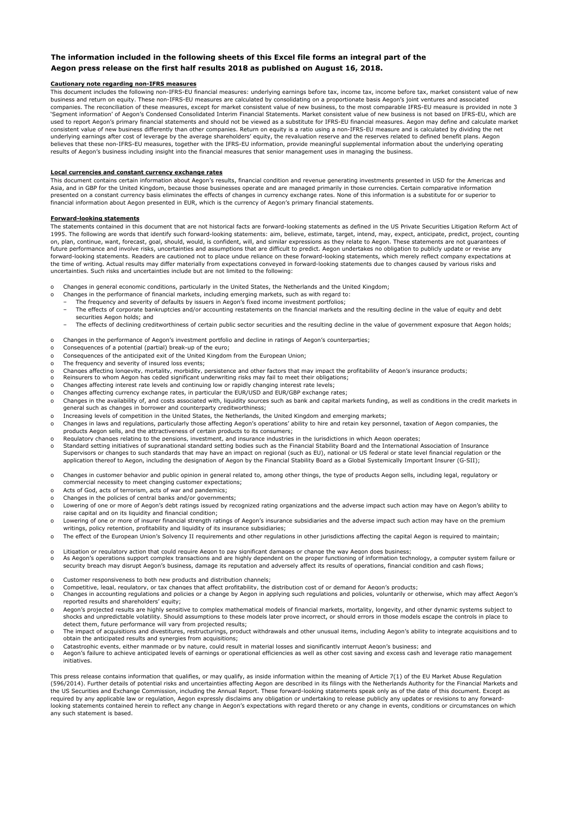## **The information included in the following sheets of this Excel file forms an integral part of the Aegon press release on the first half results 2018 as published on August 16, 2018.**

## **Cautionary note regarding non-IFRS measures**

This document includes the following non-IFRS-EU financial measures: underlying earnings before tax, income tax, income before tax, market consistent value of new business and return on equity. These non-IFRS-EU measures are calculated by consolidating on a proportionate basis Aegon's joint ventures and associated companies. The reconciliation of these measures, except for market consistent value of new business, to the most comparable IFRS-EU measure is provided in note 3 'Segment information' of Aegon's Condensed Consolidated Interim Financial Statements. Market consistent value of new business is not based on IFRS-EU, which are used to report Aegon's primary financial statements and should not be viewed as a substitute for IFRS-EU financial measures. Aegon may define and calculate market consistent value of new business differently than other companies. Return on equity is a ratio using a non-IFRS-EU measure and is calculated by dividing the net underlying earnings after cost of leverage by the average shareholders' equity, the revaluation reserve and the reserves related to defined benefit plans. Aegon<br>believes that these non-IFRS-EU measures, together with the I results of Aegon's business including insight into the financial measures that senior management uses in managing the business.

### **Local currencies and constant currency exchange rates**

This document contains certain information about Aegon's results, financial condition and revenue generating investments presented in USD for the Americas and Asia, and in GBP for the United Kingdom, because those businesses operate and are managed primarily in those currencies. Certain comparative information presented on a constant currency basis eliminates the effects of changes in currency exchange rates. None of this information is a substitute for or superior to financial information about Aegon presented in EUR, which is the currency of Aegon's primary financial statements.

#### **Forward-looking statements**

The statements contained in this document that are not historical facts are forward-looking statements as defined in the US Private Securities Litigation Reform Act of 1995. The following are words that identify such forward-looking statements: aim, believe, estimate, target, intend, may, expect, anticipate, predict, project, counting<br>on, plan, continue, want, forecast, goal, should, io future performance and involve risks, uncertainties and assumptions that are difficult to predict. Aegon undertakes no obligation to publicly update or revise any forward-looking statements. Readers are cautioned not to place undue reliance on these forward-looking statements, which merely reflect company expectations at the time of writing. Actual results may differ materially from expectations conveyed in forward-looking statements due to changes caused by various risks and uncertainties. Such risks and uncertainties include but are not limited to the following:

- Changes in general economic conditions, particularly in the United States, the Netherlands and the United Kingdom;
- 
- o Changes in the performance of financial markets, including emerging markets, such as with regard to: The frequency and severity of defaults by issuers in Aegon's fixed income investment portfolios;
	- The effects of corporate bankruptcies and/or accounting restatements on the financial markets and the resulting decline in the value of equity and debt securities Aegon holds; and
	- The effects of declining creditworthiness of certain public sector securities and the resulting decline in the value of government exposure that Aegon holds;
- o Changes in the performance of Aegon's investment portfolio and decline in ratings of Aegon's counterparties;
- o Consequences of a potential (partial) break-up of the euro;
- Consequences of the anticipated exit of the United Kingdom from the European Union;
- The frequency and severity of insured loss events;
- o Changes affecting longevity, mortality, morbidity, persistence and other factors that may impact the profitability of Aegon's insurance products;<br>o Reinsurers to whom Aegon has ceded significant underwriting risks may fa
- 
- Changes affecting interest rate levels and continuing low or rapidly changing interest rate levels; Changes affecting currency exchange rates, in particular the EUR/USD and EUR/GBP exchange rates;
- o Changes in the availability of, and costs associated with, liquidity sources such as bank and capital markets funding, as well as conditions in the credit markets in general such as changes in borrower and counterparty creditworthiness;
- Increasing levels of competition in the United States, the Netherlands, the United Kingdom and emerging markets;
- o Changes in laws and regulations, particularly those affecting Aegon's operations' ability to hire and retain key personnel, taxation of Aegon companies, the products Aegon sells, and the attractiveness of certain products to its consumers;
- Requlatory changes relating to the pensions, investment, and insurance industries in the jurisdictions in which Aegon operates;
- o Standard setting initiatives of supranational standard setting bodies such as the Financial Stability Board and the International Association of Insurance Supervisors or changes to such standards that may have an impact on regional (such as EU), national or US federal or state level financial regulation or the application thereof to Aegon, including the designation of Aegon by the Financial Stability Board as a Global Systemically Important Insurer (G-SII);
- o Changes in customer behavior and public opinion in general related to, among other things, the type of products Aegon sells, including legal, regulatory or commercial necessity to meet changing customer expectations;
- o Acts of God, acts of terrorism, acts of war and pandemics;
- Changes in the policies of central banks and/or governments;
- o Lowering of one or more of Aegon's debt ratings issued by recognized rating organizations and the adverse impact such action may have on Aegon's ability to raise capital and on its liquidity and financial condition;
- o Lowering of one or more of insurer financial strength ratings of Aegon's insurance subsidiaries and the adverse impact such action may have on the premium writings, policy retention, profitability and liquidity of its insurance subsidiaries;
- o The effect of the European Union's Solvency II requirements and other regulations in other jurisdictions affecting the capital Aegon is required to maintain;
- Litigation or regulatory action that could require Aegon to pay significant damages or change the way Aegon does business;
- o As Aegon's operations support complex transactions and are highly dependent on the proper functioning of information technology, a computer system failure or security breach may disrupt Aegon's business, damage its reputation and adversely affect its results of operations, financial condition and cash flows;
- 
- 
- o Customer responsiveness to both new products and distribution channels;<br>o Competitive, legal, requlatory, or tax changes that affect profitability, the distribution cost of or demand for Aegon's products;<br>o Changes in ac o reported results and shareholders' equity;
- o Aegon's projected results are highly sensitive to complex mathematical models of financial markets, mortality, longevity, and other dynamic systems subject to<br>shocks and unpredictable volatility. Should assumptions to thes detect them, future performance will vary from projected results;
- o The impact of acquisitions and divestitures, restructurings, product withdrawals and other unusual items, including Aegon's ability to integrate acquisitions and to obtain the anticipated results and synergies from acquisitions;
- o Catastrophic events, either manmade or by nature, could result in material losses and significantly interrupt Aegon's business; and
- o Aegon's failure to achieve anticipated levels of earnings or operational efficiencies as well as other cost saving and excess cash and leverage ratio management initiatives.

This press release contains information that qualifies, or may qualify, as inside information within the meaning of Article 7(1) of the EU Market Abuse Regulation (596/2014). Further details of potential risks and uncertainties affecting Aegon are described in its filings with the Netherlands Authority for the Financial Markets and the US Securities and Exchange Commission, including the Annual Report. These forward-looking statements speak only as of the date of this document. Except as required by any applicable law or regulation, Aegon expressly disclaims any obligation or undertaking to release publicly any updates or revisions to any forward-<br>looking statements contained herein to reflect any change i any such statement is based.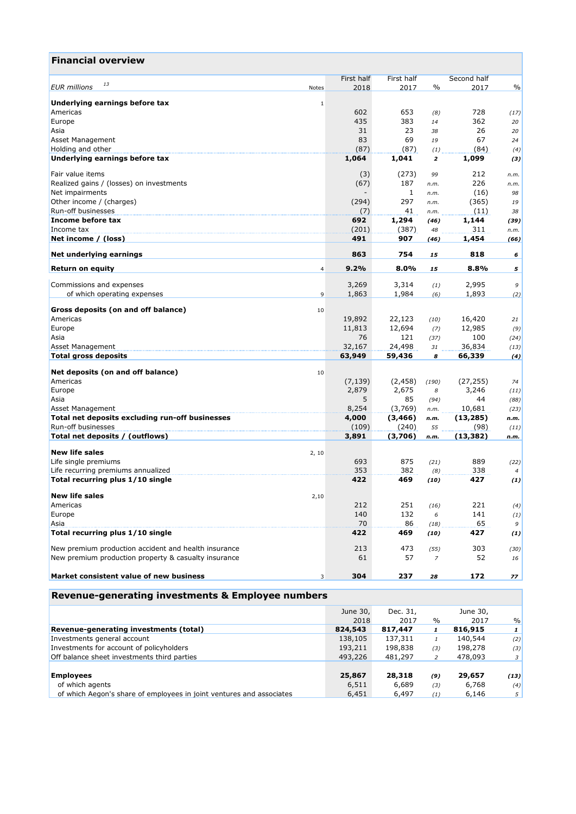| <b>Financial overview</b>                            |                        |              |                         |                    |              |
|------------------------------------------------------|------------------------|--------------|-------------------------|--------------------|--------------|
|                                                      | First half             | First half   |                         | Second half        |              |
| 13<br><b>EUR</b> millions<br>Notes                   | 2018                   | 2017         | $\%$                    | 2017               | $\%$         |
| Underlying earnings before tax                       | $1\,$                  |              |                         |                    |              |
| Americas                                             | 602                    | 653          | (8)                     | 728                | (17)         |
| Europe                                               | 435                    | 383          | 14                      | 362                | 20           |
| Asia                                                 | 31                     | 23           | 38                      | 26                 | 20           |
| Asset Management                                     | 83                     | 69           | 19                      | 67                 | 24           |
| Holding and other                                    | (87)                   | (87)         | (1)                     | (84)               | (4)          |
| Underlying earnings before tax                       | 1,064                  | 1,041        | $\overline{\mathbf{z}}$ | 1,099              | (3)          |
| Fair value items                                     | (3)                    | (273)        | 99                      | 212                | n.m.         |
| Realized gains / (losses) on investments             | (67)                   | 187          | n.m.                    | 226                | n.m.         |
| Net impairments                                      |                        | $\mathbf{1}$ | n.m.                    | (16)               | 98           |
| Other income / (charges)                             | (294)                  | 297          | n.m.                    | (365)              | 19           |
| Run-off businesses                                   | (7)                    | 41           | n.m.                    | (11)               | 38           |
| Income before tax                                    | 692                    | 1,294        | (46)                    | 1,144              | (39)         |
| Income tax                                           | (201)                  | (387)        | 48                      | 311                | n.m.         |
| Net income / (loss)                                  | 491                    | 907          | (46)                    | 1,454              | (66)         |
| Net underlying earnings                              | 863                    | 754          | 15                      | 818                | 6            |
| <b>Return on equity</b>                              | 9.2%<br>$\overline{4}$ | 8.0%         | 15                      | 8.8%               | 5            |
|                                                      |                        |              |                         |                    |              |
| Commissions and expenses                             | 3,269                  | 3,314        | (1)                     | 2,995              | 9            |
| of which operating expenses                          | 1,863<br>9             | 1,984        | (6)                     | 1,893              | (2)          |
| Gross deposits (on and off balance)<br>10            |                        |              |                         |                    |              |
| Americas                                             | 19,892                 | 22,123       | (10)                    | 16,420             | 21           |
| Europe                                               | 11,813                 | 12,694       | (7)                     | 12,985             | (9)          |
| Asia                                                 | 76                     | 121          | (37)                    | 100                | (24)         |
| Asset Management                                     | 32,167                 | 24,498       | 31                      | 36,834             | (13)         |
| <b>Total gross deposits</b>                          | 63,949                 | 59,436       | 8                       | 66,339             | (4)          |
|                                                      |                        |              |                         |                    |              |
| Net deposits (on and off balance)<br>10<br>Americas  |                        | (2, 458)     |                         |                    |              |
| Europe                                               | (7, 139)<br>2,879      | 2,675        | (190)<br>8              | (27, 255)<br>3,246 | 74<br>(11)   |
| Asia                                                 | 5                      | 85           | (94)                    | 44                 | (88)         |
| Asset Management                                     | 8,254                  | (3,769)      | n.m.                    | 10,681             | (23)         |
| Total net deposits excluding run-off businesses      | 4,000                  | (3, 466)     | n.m.                    | (13, 285)          | n.m.         |
| Run-off businesses                                   | (109)                  | (240)        | 55                      | (98)               | (11)         |
| Total net deposits / (outflows)                      | 3,891                  | (3,706)      | n.m.                    | (13, 382)          | n.m.         |
| <b>New life sales</b><br>2, 10                       |                        |              |                         |                    |              |
| Life single premiums                                 | 693                    | 875          | (21)                    | 889                | (22)         |
| Life recurring premiums annualized                   | 353                    | 382          | (8)                     | 338                | 4            |
| Total recurring plus 1/10 single                     | 422                    | 469          | (10)                    | 427                | (1)          |
|                                                      |                        |              |                         |                    |              |
| <b>New life sales</b><br>2,10                        |                        |              |                         |                    |              |
| Americas                                             | 212                    | 251          | (16)                    | 221                | (4)          |
| Europe                                               | 140                    | 132          | 6                       | 141                | (1)          |
| Asia                                                 | 70                     | 86           | (18)                    | 65                 | 9            |
| Total recurring plus 1/10 single                     | 422                    | 469          | (10)                    | 427                | (1)          |
| New premium production accident and health insurance | 213                    | 473          | (55)                    | 303                | (30)         |
| New premium production property & casualty insurance | 61                     | 57           | $\overline{z}$          | 52                 | 16           |
| Market consistent value of new business              | 304<br>3               | 237          | 28                      | 172                | 77           |
| Revenue-generating investments & Employee numbers    |                        |              |                         |                    |              |
|                                                      |                        | Dec. 31,     |                         | June 30,           |              |
|                                                      | June 30,<br>2018       | 2017         | $\%$                    | 2017               | $\%$         |
| Revenue-generating investments (total)               | 824,543                | 817,447      | $\mathbf{1}$            | 816,915            | $\mathbf{1}$ |
|                                                      |                        |              |                         |                    |              |

| Investments general account                                          | 138,105 | 137,311 |     | 140,544 | (2)            |
|----------------------------------------------------------------------|---------|---------|-----|---------|----------------|
| Investments for account of policyholders                             | 193,211 | 198,838 | (3) | 198,278 | (3)            |
| Off balance sheet investments third parties                          | 493,226 | 481,297 |     | 478,093 | 3 <sup>1</sup> |
|                                                                      |         |         |     |         |                |
| <b>Employees</b>                                                     | 25,867  | 28,318  | (9) | 29,657  | (13)           |
| of which agents                                                      | 6,511   | 6,689   | (3) | 6,768   | (4)            |
| of which Aegon's share of employees in joint ventures and associates | 6,451   | 6,497   | (1) | 6,146   | 5 <sup>1</sup> |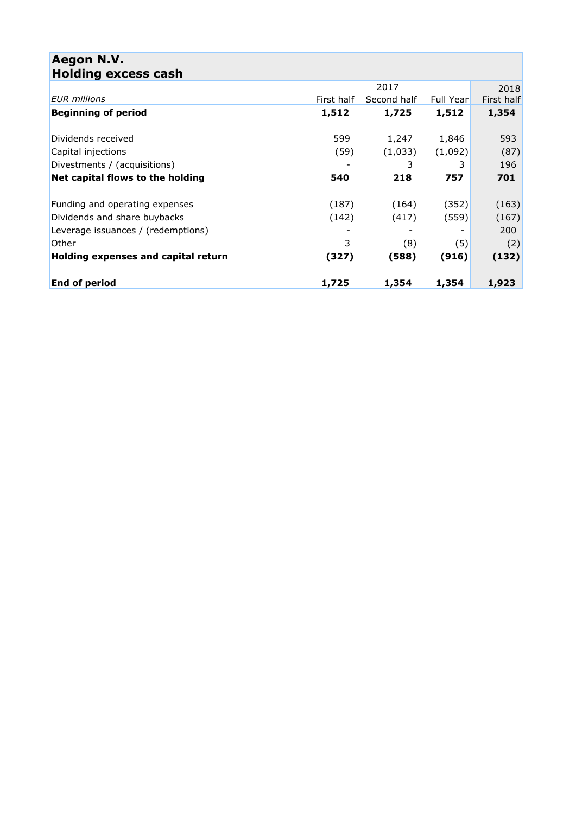| Aegon N.V.<br><b>Holding excess cash</b> |            |             |                  |            |
|------------------------------------------|------------|-------------|------------------|------------|
|                                          |            | 2017        |                  | 2018       |
| <b>EUR</b> millions                      | First half | Second half | <b>Full Year</b> | First half |
| <b>Beginning of period</b>               | 1,512      | 1,725       | 1,512            | 1,354      |
|                                          |            |             |                  |            |
| Dividends received                       | 599        | 1,247       | 1,846            | 593        |
| Capital injections                       | (59)       | (1,033)     | (1,092)          | (87)       |
| Divestments / (acquisitions)             |            | 3           | 3                | 196        |
| Net capital flows to the holding         | 540        | 218         | 757              | 701        |
| Funding and operating expenses           | (187)      | (164)       | (352)            | (163)      |
| Dividends and share buybacks             | (142)      | (417)       | (559)            | (167)      |
| Leverage issuances / (redemptions)       |            |             |                  | 200        |
| Other                                    | 3          | (8)         | (5)              | (2)        |
| Holding expenses and capital return      | (327)      | (588)       | (916)            | (132)      |
| <b>End of period</b>                     | 1,725      | 1,354       | 1,354            | 1,923      |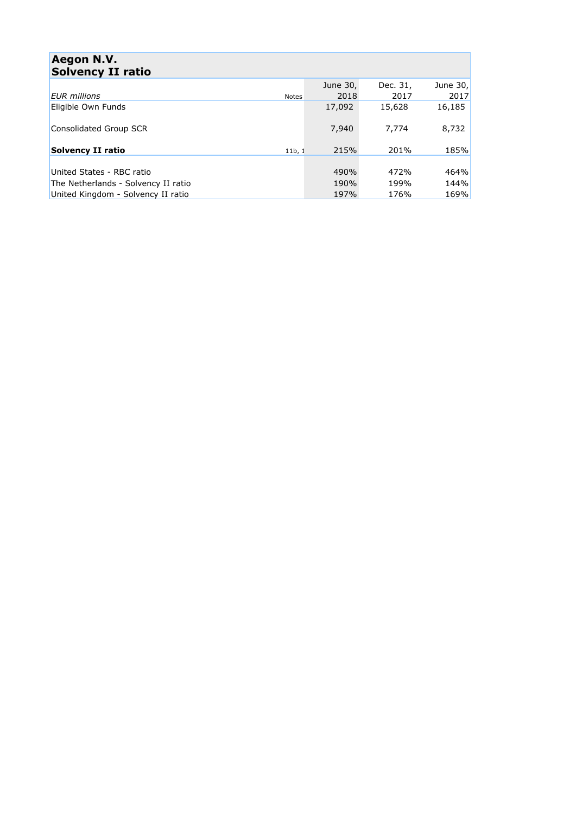| Aegon N.V.                          |              |          |          |          |
|-------------------------------------|--------------|----------|----------|----------|
| <b>Solvency II ratio</b>            |              |          |          |          |
|                                     |              | June 30, | Dec. 31, | June 30, |
| <b>EUR</b> millions                 | <b>Notes</b> | 2018     | 2017     | 2017     |
| Eligible Own Funds                  |              | 17,092   | 15,628   | 16,185   |
| Consolidated Group SCR              |              | 7,940    | 7.774    | 8,732    |
| Solvency II ratio                   | 11b, 1       | 215%     | 201%     | 185%     |
| United States - RBC ratio           |              | 490%     | 472%     | 464%     |
| The Netherlands - Solvency II ratio |              | 190%     | 199%     | 144%     |
| United Kingdom - Solvency II ratio  |              | 197%     | 176%     | 169%     |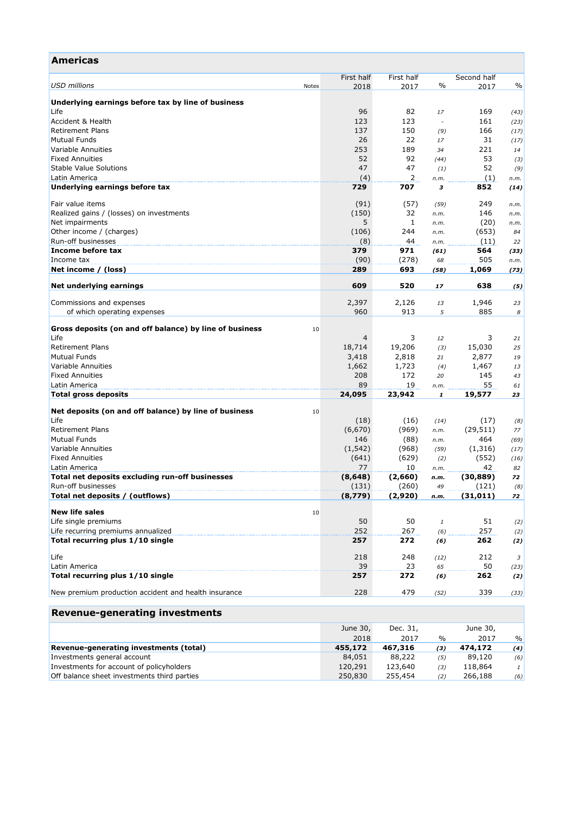| <b>Americas</b>                                               |       |                 |               |                                                           |                |            |
|---------------------------------------------------------------|-------|-----------------|---------------|-----------------------------------------------------------|----------------|------------|
|                                                               |       | First half      | First half    |                                                           | Second half    |            |
| <b>USD</b> millions                                           | Notes | 2018            | 2017          | $\frac{0}{0}$                                             | 2017           | $\%$       |
|                                                               |       |                 |               |                                                           |                |            |
| Underlying earnings before tax by line of business            |       |                 |               |                                                           |                |            |
| Life                                                          |       | 96              | 82            | 17                                                        | 169            | (43)       |
| Accident & Health                                             |       | 123             | 123           |                                                           | 161            | (23)       |
| <b>Retirement Plans</b>                                       |       | 137             | 150           | (9)                                                       | 166            | (17)       |
| <b>Mutual Funds</b>                                           |       | 26              | 22            | 17                                                        | 31             | (17)       |
| Variable Annuities                                            |       | 253             | 189           | 34                                                        | 221            | 14         |
| <b>Fixed Annuities</b>                                        |       | 52              | 92            | (44)                                                      | 53             | (3)        |
| <b>Stable Value Solutions</b>                                 |       | 47              | 47            | (1)                                                       | 52             | (9)        |
| Latin America                                                 |       | (4)             | 2             | n.m.                                                      | (1)            | n.m.       |
| Underlying earnings before tax                                |       | 729             | 707           | 3                                                         | 852            | (14)       |
| Fair value items                                              |       | (91)            | (57)          | (59)                                                      | 249            | n.m.       |
| Realized gains / (losses) on investments                      |       | (150)           | 32            | n.m.                                                      | 146            | n.m.       |
| Net impairments                                               |       | 5               | 1             | n.m.                                                      | (20)           |            |
| Other income / (charges)                                      |       | (106)           | 244           | n.m.                                                      | (653)          | n.m.<br>84 |
| Run-off businesses                                            |       | (8)             | 44            | n.m.                                                      | (11)           | 22         |
| Income before tax                                             |       | 379             | 971           | (61)                                                      | 564            | (33)       |
| Income tax                                                    |       | (90)            | (278)         | 68                                                        | 505            | n.m.       |
| Net income / (loss)                                           |       | 289             | 693           | (58)                                                      | 1,069          | (73)       |
|                                                               |       |                 |               |                                                           |                |            |
| Net underlying earnings                                       |       | 609             | 520           | 17                                                        | 638            | (5)        |
| Commissions and expenses                                      |       | 2,397           | 2,126         | 13                                                        | 1,946          | 23         |
| of which operating expenses                                   |       | 960             | 913           | 5                                                         | 885            | 8          |
|                                                               |       |                 |               |                                                           |                |            |
| Gross deposits (on and off balance) by line of business       | 10    |                 |               |                                                           |                |            |
| Life                                                          |       | 4               | 3             | 12                                                        | 3              | 21         |
| <b>Retirement Plans</b>                                       |       | 18,714          | 19,206        | (3)                                                       | 15,030         | 25         |
| <b>Mutual Funds</b>                                           |       | 3,418           | 2,818         | 21                                                        | 2,877          | 19         |
| Variable Annuities                                            |       | 1,662           | 1,723         | (4)                                                       | 1,467          | 13         |
| <b>Fixed Annuities</b>                                        |       | 208             | 172           | 20                                                        | 145            | 43         |
| Latin America                                                 |       | 89              | 19            | n.m.                                                      | 55             | 61         |
| <b>Total gross deposits</b>                                   |       | 24,095          | 23,942        | 1                                                         | 19,577         | 23         |
|                                                               |       |                 |               |                                                           |                |            |
| Net deposits (on and off balance) by line of business<br>Life | 10    |                 |               |                                                           |                |            |
| <b>Retirement Plans</b>                                       |       | (18)<br>(6,670) | (16)          | (14)                                                      | (17)           | (8)        |
| <b>Mutual Funds</b>                                           |       | 146             | (969)         | n.m.                                                      | (29, 511)      | 77         |
| Variable Annuities                                            |       |                 | (88)<br>(968) | n.m.                                                      | 464<br>(1,316) | (69)       |
| <b>Fixed Annuities</b>                                        |       | (1, 542)        |               | (59)                                                      |                | (17)       |
| Latin America                                                 |       | (641)<br>77     | (629)<br>10   | (2)                                                       | (552)<br>42    | (16)       |
| Total net deposits excluding run-off businesses               |       | (8, 648)        | (2,660)       | n.m.                                                      | (30, 889)      | 82         |
| Run-off businesses                                            |       | (131)           | (260)         | n.m.<br>49                                                | (121)          | 72<br>(8)  |
| Total net deposits / (outflows)                               |       | (8,779)         | (2,920)       | n.m.                                                      | (31, 011)      | 72         |
|                                                               |       |                 |               |                                                           |                |            |
| <b>New life sales</b>                                         | 10    |                 |               |                                                           |                |            |
| Life single premiums                                          |       | 50              | 50            | $\mathcal{I}% _{M_{1},M_{2}}^{\alpha,\beta}(\varepsilon)$ | 51             | (2)        |
| Life recurring premiums annualized                            |       | 252             | 267           | (6)                                                       | 257            | (2)        |
| Total recurring plus 1/10 single                              |       | 257             | 272           | (6)                                                       | 262            | (2)        |
|                                                               |       |                 |               |                                                           |                |            |
| Life                                                          |       | 218             | 248           | (12)                                                      | 212            | 3          |
| Latin America                                                 |       | 39              | 23            | 65                                                        | 50             | (23)       |
| Total recurring plus 1/10 single                              |       | 257             | 272           | (6)                                                       | 262            | (2)        |
| New premium production accident and health insurance          |       | 228             | 479           |                                                           | 339            |            |
|                                                               |       |                 |               | (52)                                                      |                | (33)       |
| <b>Revenue-generating investments</b>                         |       |                 |               |                                                           |                |            |
|                                                               |       | June 30,        | Dec. 31,      |                                                           | June 30,       |            |
|                                                               |       | 2018            | 2017          | $\frac{0}{0}$                                             | 2017           | %          |

|                                             | June 30,<br>Dec. 31, |         |      | June 30, |               |  |
|---------------------------------------------|----------------------|---------|------|----------|---------------|--|
|                                             | 2018                 | 2017    | $\%$ | 2017     | $\frac{0}{c}$ |  |
| Revenue-generating investments (total)      | 455,172              | 467,316 | (3)  | 474,172  | (4)           |  |
| Investments general account                 | 84,051               | 88,222  | (5)  | 89,120   | (6)           |  |
| Investments for account of policyholders    | 120,291              | 123,640 | (3)  | 118,864  |               |  |
| Off balance sheet investments third parties | 250,830              | 255,454 | (2)  | 266,188  | (6)           |  |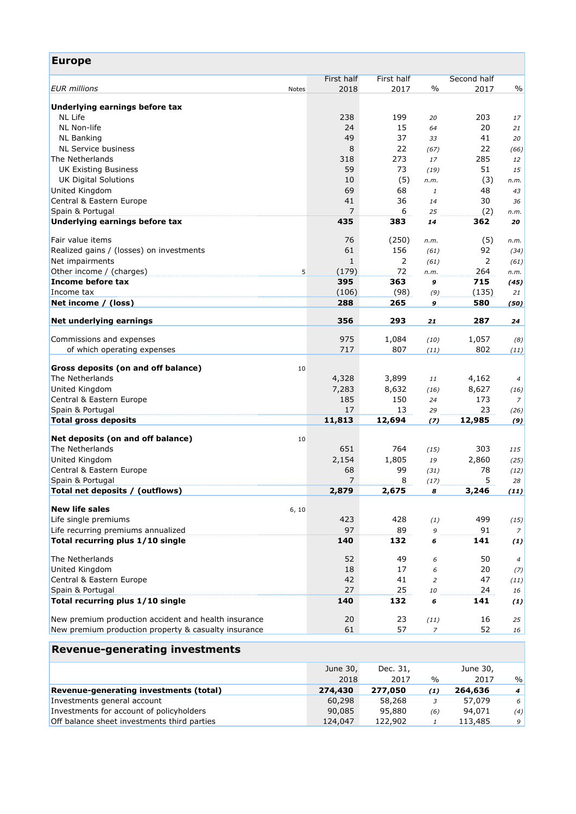| <b>Europe</b>                                                          |                |                |                |              |                  |
|------------------------------------------------------------------------|----------------|----------------|----------------|--------------|------------------|
|                                                                        | First half     | First half     |                | Second half  |                  |
| <b>EUR</b> millions<br>Notes                                           | 2018           | 2017           | $\%$           | 2017         | $\frac{0}{0}$    |
| Underlying earnings before tax                                         |                |                |                |              |                  |
| <b>NL Life</b>                                                         | 238            | 199            | 20             | 203          | 17               |
| NL Non-life                                                            | 24             | 15             | 64             | 20           | 21               |
| <b>NL Banking</b>                                                      | 49             | 37             | 33             | 41           | 20               |
| <b>NL Service business</b>                                             | 8              | 22             | (67)           | 22           | (66)             |
| The Netherlands                                                        | 318            | 273            | 17             | 285          | 12               |
| <b>UK Existing Business</b>                                            | 59             | 73             | (19)           | 51           | 15               |
| <b>UK Digital Solutions</b>                                            | 10             | (5)            | n.m.           | (3)          | n.m.             |
| United Kingdom                                                         | 69             | 68             | 1              | 48           | 43               |
| Central & Eastern Europe                                               | 41             | 36             | 14             | 30           | 36               |
| Spain & Portugal                                                       | $\overline{7}$ | 6              | 25             | (2)          | n.m.             |
| Underlying earnings before tax                                         | 435            | 383            | 14             | 362          | 20               |
|                                                                        |                |                |                |              |                  |
| Fair value items                                                       | 76             | (250)          | n.m.           | (5)          | n.m.             |
| Realized gains / (losses) on investments                               | 61             | 156            | (61)           | 92           | (34)             |
| Net impairments                                                        | $\mathbf{1}$   | $\overline{2}$ | (61)           | 2            | (61)             |
| Other income / (charges)<br>5                                          | (179)          | 72             | n.m.           | 264          | n.m.             |
| Income before tax                                                      | 395            | 363            | 9              | 715          | (45)             |
| Income tax                                                             | (106)          | (98)           | (9)            | (135)        | 21               |
| Net income / (loss)                                                    | 288            | 265            | 9              | 580          | (50)             |
| Net underlying earnings                                                | 356            | 293            | 21             | 287          | 24               |
|                                                                        | 975            |                |                |              |                  |
| Commissions and expenses<br>of which operating expenses                | 717            | 1,084          | (10)           | 1,057<br>802 | (8)              |
|                                                                        |                | 807            | (11)           |              | (11)             |
| Gross deposits (on and off balance)<br>10                              |                |                |                |              |                  |
| The Netherlands                                                        | 4,328          | 3,899          | 11             | 4,162        | 4                |
| United Kingdom                                                         | 7,283          | 8,632          | (16)           | 8,627        | (16)             |
| Central & Eastern Europe                                               | 185            | 150            | 24             | 173          | 7                |
| Spain & Portugal                                                       | 17             | 13             | 29             | 23           | (26)             |
| <b>Total gross deposits</b>                                            | 11,813         | 12,694         | (7)            | 12,985       | (9)              |
|                                                                        |                |                |                |              |                  |
| Net deposits (on and off balance)<br>10                                |                |                |                |              |                  |
| The Netherlands                                                        | 651            | 764            | (15)           | 303          | 115              |
| United Kingdom                                                         | 2,154          | 1,805          | 19             | 2,860        | (25)             |
| Central & Eastern Europe                                               | 68             | 99             | (31)           | 78           | (12)             |
| Spain & Portugal                                                       | $\overline{7}$ | 8              |                | 5<br>(17)    | 28               |
| Total net deposits / (outflows)                                        | 2,879          | 2,675          | 8              | 3,246        | (11)             |
| <b>New life sales</b>                                                  |                |                |                |              |                  |
| 6, 10                                                                  |                |                |                |              |                  |
| Life single premiums                                                   | 423            | 428            | (1)            | 499          | (15)             |
| Life recurring premiums annualized<br>Total recurring plus 1/10 single | 97<br>140      | 89             | 9              | 91           | 7                |
|                                                                        |                | 132            | 6              | 141          | (1)              |
| The Netherlands                                                        | 52             | 49             | 6              | 50           | $\boldsymbol{4}$ |
| United Kingdom                                                         | 18             | 17             | 6              | 20           | (7)              |
| Central & Eastern Europe                                               | 42             | 41             | $\overline{2}$ | 47           | (11)             |
| Spain & Portugal                                                       | 27             | 25             | 10             | 24           | 16               |
| Total recurring plus 1/10 single                                       | 140            | 132            | 6              | 141          | (1)              |
| New premium production accident and health insurance                   | 20             | 23             |                | 16           |                  |
|                                                                        |                |                | (11)           |              | 25               |
| New premium production property & casualty insurance                   | 61             | 57             | 7              | 52           | 16               |
| <b>Revenue-generating investments</b>                                  |                |                |                |              |                  |
|                                                                        | June 30,       | Dec. 31,       |                | June 30,     |                  |
|                                                                        | 2018           | 2017           | $\%$           | 2017         | $\%$             |
| Revenue-generating investments (total)                                 | 274,430        | 277,050        | (1)            | 264,636      | 4                |
| Investments general account                                            | 60,298         | 58,268         | 3              | 57,079       | 6                |
| Investments for account of policyholders                               | 90,085         | 95,880         | (6)            | 94,071       | (4)              |
| Off balance sheet investments third parties                            | 124,047        | 122,902        | $\mathbf{1}$   | 113,485      | 9                |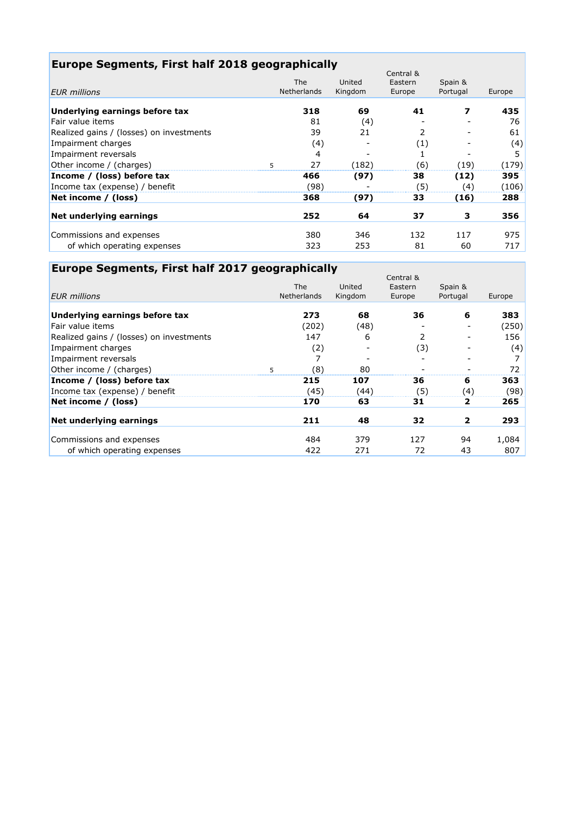## **Europe Segments, First half 2018 geographically**

|                                          |                                  |                   | Central &         |                     |        |
|------------------------------------------|----------------------------------|-------------------|-------------------|---------------------|--------|
| <b>EUR</b> millions                      | <b>The</b><br><b>Netherlands</b> | United<br>Kingdom | Eastern<br>Europe | Spain &<br>Portugal | Europe |
|                                          |                                  |                   |                   |                     |        |
| Underlying earnings before tax           | 318                              | 69                | 41                | 7                   | 435    |
| Fair value items                         | 81                               | (4)               |                   |                     | 76     |
| Realized gains / (losses) on investments | 39                               | 21                | $\mathcal{P}$     |                     | 61     |
| Impairment charges                       | (4)                              |                   | $\left( 1\right)$ |                     | (4)    |
| Impairment reversals                     | 4                                |                   |                   |                     | 5      |
| Other income / (charges)                 | 27                               | (182)             | (6)               | (19)                | (179)  |
| Income / (loss) before tax               | 466                              | (97)              | 38                | (12)                | 395    |
| Income tax (expense) / benefit           | (98)                             |                   | (5)               | (4)                 | (106)  |
| Net income / (loss)                      | 368                              | (97)              | 33                | (16)                | 288    |
| Net underlying earnings                  | 252                              | 64                | 37                | з                   | 356    |
|                                          |                                  |                   |                   |                     |        |
| Commissions and expenses                 | 380                              | 346               | 132               | 117                 | 975    |
| of which operating expenses              | 323                              | 253               | 81                | 60                  | 717    |

# **Europe Segments, First half 2017 geographically**

|                                          |                    |         | Central &     |                |        |
|------------------------------------------|--------------------|---------|---------------|----------------|--------|
|                                          | <b>The</b>         | United  | Eastern       | Spain &        |        |
| <b>EUR</b> millions                      | <b>Netherlands</b> | Kingdom | Europe        | Portugal       | Europe |
| Underlying earnings before tax           | 273                | 68      | 36            | 6              | 383    |
| Fair value items                         | (202)              | (48)    |               |                | (250)  |
| Realized gains / (losses) on investments | 147                | 6       | $\mathcal{P}$ |                | 156    |
| Impairment charges                       | (2)                |         | (3)           |                | (4)    |
| Impairment reversals                     |                    |         |               |                |        |
| Other income / (charges)                 | (8)                | 80      |               |                | 72     |
| Income / (loss) before tax               | 215                | 107     | 36            | 6              | 363    |
| Income tax (expense) / benefit           | (45)               | (44)    | (5)           | (4)            | (98)   |
| Net income / (loss)                      | 170                | 63      | 31            | 2              | 265    |
| Net underlying earnings                  | 211                | 48      | 32            | $\overline{2}$ | 293    |
| Commissions and expenses                 | 484                | 379     | 127           | 94             | 1,084  |
| of which operating expenses              | 422                | 271     | 72            | 43             | 807    |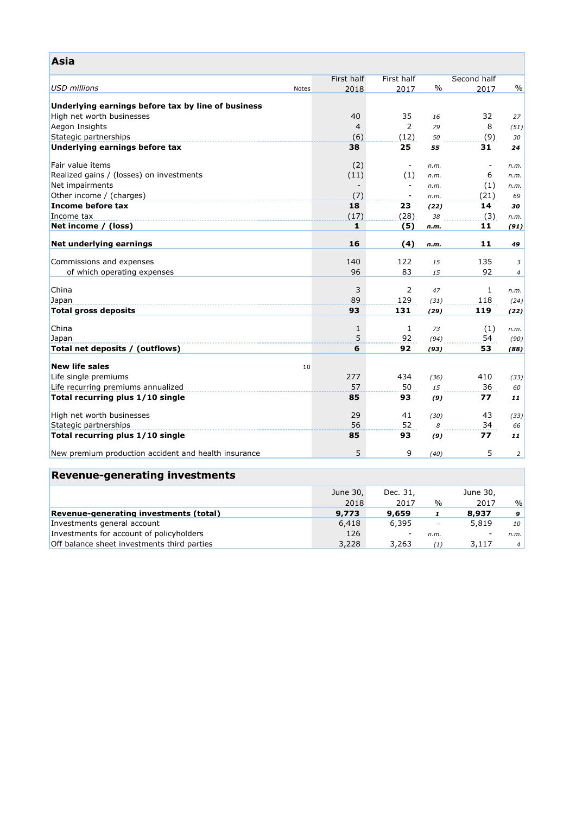| Asia                                                 |              |                |                          |               |             |                |
|------------------------------------------------------|--------------|----------------|--------------------------|---------------|-------------|----------------|
|                                                      |              | First half     | First half               |               | Second half |                |
| <b>USD</b> millions                                  | <b>Notes</b> | 2018           | 2017                     | $\frac{0}{0}$ | 2017        | $\%$           |
|                                                      |              |                |                          |               |             |                |
| Underlying earnings before tax by line of business   |              |                |                          |               |             |                |
| High net worth businesses                            |              | 40             | 35<br>$\overline{2}$     | 16            | 32<br>8     | 27             |
| Aegon Insights                                       |              | $\overline{4}$ |                          | 79            |             | (51)           |
| Stategic partnerships                                |              | (6)            | (12)                     | 50            | (9)         | 30             |
| Underlying earnings before tax                       |              | 38             | 25                       | 55            | 31          | 24             |
| Fair value items                                     |              | (2)            |                          | n.m.          |             | n.m.           |
| Realized gains / (losses) on investments             |              | (11)           | (1)                      | n.m.          | 6           | n.m.           |
| Net impairments                                      |              |                | $\overline{\phantom{a}}$ | n.m.          | (1)         | n.m.           |
| Other income / (charges)                             |              | (7)            | $\overline{\phantom{a}}$ | n.m.          | (21)        | 69             |
| Income before tax                                    |              | 18             | 23                       | (22)          | 14          | 30             |
| Income tax                                           |              | (17)           | (28)                     | 38            | (3)         | n.m.           |
| Net income / (loss)                                  |              | $\mathbf 1$    | (5)                      | n.m.          | 11          | (91)           |
|                                                      |              |                |                          |               |             |                |
| Net underlying earnings                              |              | 16             | (4)                      | n.m.          | 11          | 49             |
| Commissions and expenses                             |              | 140            | 122                      | 15            | 135         | 3              |
| of which operating expenses                          |              | 96             | 83                       | 15            | 92          | $\overline{4}$ |
|                                                      |              |                |                          |               |             |                |
| China                                                |              | 3              | 2                        | 47            | 1           | n.m.           |
| Japan                                                |              | 89             | 129                      | (31)          | 118         | (24)           |
| <b>Total gross deposits</b>                          |              | 93             | 131                      | (29)          | 119         | (22)           |
|                                                      |              |                |                          |               |             |                |
| China                                                |              | $1\,$          | $\mathbf{1}$             | 73            | (1)         | n.m.           |
| Japan                                                |              | 5              | 92                       | (94)          | 54          | (90)           |
| Total net deposits / (outflows)                      |              | 6              | 92                       | (93)          | 53          | (88)           |
| <b>New life sales</b>                                | 10           |                |                          |               |             |                |
| Life single premiums                                 |              | 277            | 434                      | (36)          | 410         | (33)           |
| Life recurring premiums annualized                   |              | 57             | 50                       | 15            | 36          | 60             |
| Total recurring plus 1/10 single                     |              | 85             | 93                       | (9)           | 77          | 11             |
|                                                      |              |                |                          |               |             |                |
| High net worth businesses                            |              | 29             | 41                       | (30)          | 43          | (33)           |
| Stategic partnerships                                |              | 56             | 52                       | 8             | 34          | 66             |
| Total recurring plus 1/10 single                     |              | 85             | 93                       | (9)           | 77          | 11             |
| New premium production accident and health insurance |              | 5              | 9                        | (40)          | 5           | $\overline{2}$ |
|                                                      |              |                |                          |               |             |                |
| <b>Revenue-generating investments</b>                |              |                |                          |               |             |                |
|                                                      |              | June 30,       | Dec. 31,                 |               | June 30,    |                |
|                                                      |              | 2018           | 2017                     | $\frac{0}{0}$ | 2017        | $\frac{0}{0}$  |

**Revenue-generating investments (total) 9,773 9,659** *1* **8,937** *9* Investments general account 6,418 6,395 *-* 5,819 *10* Investments for account of policyholders 126 - *n.m.*<br>
Off balance sheet investments third parties 126 3,228 3,263 (1) 3,117 4 Off balance sheet investments third parties 3,228 3,263 *(1)* 3,117 *4*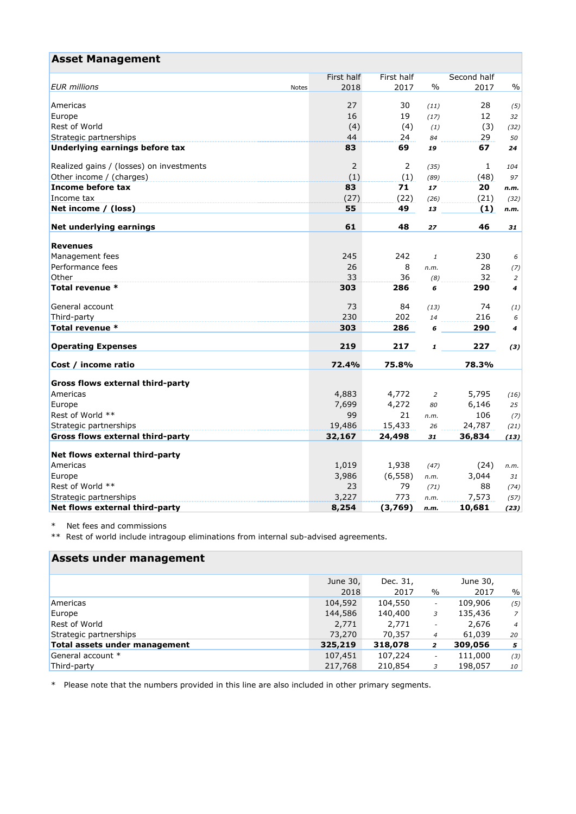| <b>Asset Management</b>                  |                      |                   |              |             |                |
|------------------------------------------|----------------------|-------------------|--------------|-------------|----------------|
|                                          | First half           | <b>First half</b> |              | Second half |                |
| <b>EUR</b> millions                      | 2018<br><b>Notes</b> | 2017              | $\%$         | 2017        | $\%$           |
| Americas                                 | 27                   | 30                | (11)         | 28          |                |
| Europe                                   | 16                   | 19                | (17)         | 12          | (5)<br>32      |
| Rest of World                            | (4)                  | (4)               | (1)          | (3)         | (32)           |
| Strategic partnerships                   | 44                   | 24                | 84           | 29          | 50             |
| Underlying earnings before tax           | 83                   | 69                | 19           | 67          | 24             |
|                                          |                      |                   |              |             |                |
| Realized gains / (losses) on investments | 2                    | 2                 | (35)         | 1           | 104            |
| Other income / (charges)                 | (1)                  | (1)               | (89)         | (48)        | 97             |
| Income before tax                        | 83                   | 71                | 17           | 20          | n.m.           |
| Income tax                               | (27)                 | (22)              |              | (21)        | (32)           |
| Net income / (loss)                      | 55                   | 49                | 13           | (1)         | n.m.           |
| Net underlying earnings                  | 61                   | 48                | 27           | 46          | 31             |
|                                          |                      |                   |              |             |                |
| <b>Revenues</b>                          |                      |                   |              |             |                |
| Management fees                          | 245                  | 242               | $\mathbf{1}$ | 230         | 6              |
| Performance fees                         | 26                   | 8                 | n.m.         | 28          | (7)            |
| Other                                    | 33                   | 36                | (8)          | 32          | $\overline{2}$ |
| Total revenue *                          | 303                  | 286               | 6            | 290         | 4              |
| General account                          | 73                   | 84                | (13)         | 74          | (1)            |
| Third-party                              | 230                  | 202               | 14           | 216         | 6              |
| Total revenue *                          | 303                  | 286               | 6            | 290         | 4              |
| <b>Operating Expenses</b>                | 219                  | 217               | 1            | 227         | (3)            |
| Cost / income ratio                      | 72.4%                | 75.8%             |              | 78.3%       |                |
|                                          |                      |                   |              |             |                |
| Gross flows external third-party         |                      |                   |              |             |                |
| Americas                                 | 4,883                | 4,772             | 2            | 5,795       | (16)           |
| Europe                                   | 7,699                | 4,272             | 80           | 6,146       | 25             |
| Rest of World **                         | 99                   | 21                | n.m.         | 106         | (7)            |
| Strategic partnerships                   | 19,486               | 15,433            | 26           | 24,787      | (21)           |
| Gross flows external third-party         | 32,167               | 24,498            | 31           | 36,834      | (13)           |
| Net flows external third-party           |                      |                   |              |             |                |
| Americas                                 | 1,019                | 1,938             | (47)         | (24)        | n.m.           |
| Europe                                   | 3,986                | (6, 558)          | n.m.         | 3,044       | 31             |
| Rest of World **                         | 23                   | 79                | (71)         | 88          | (74)           |
| Strategic partnerships                   | 3,227                | 773               | n.m.         | 7,573       | (57)           |
| Net flows external third-party           | 8,254                | (3,769)           | n.m.         | 10,681      | (23)           |

\* Net fees and commissions

\*\* Rest of world include intragoup eliminations from internal sub-advised agreements.

| Assets under management       |          |          |                          |          |                 |
|-------------------------------|----------|----------|--------------------------|----------|-----------------|
|                               | June 30, | Dec. 31, |                          | June 30, |                 |
|                               | 2018     | 2017     | $\frac{0}{0}$            | 2017     | %               |
| Americas                      | 104,592  | 104,550  | $\overline{\phantom{a}}$ | 109,906  | (5)             |
| Europe                        | 144,586  | 140,400  | 3                        | 135,436  | 7 <sup>1</sup>  |
| <b>Rest of World</b>          | 2,771    | 2,771    |                          | 2,676    | 4 <sup>1</sup>  |
| Strategic partnerships        | 73,270   | 70,357   | $\overline{4}$           | 61,039   | 20 <sup>1</sup> |
| Total assets under management | 325,219  | 318,078  | $\overline{2}$           | 309,056  | 5 <sup>1</sup>  |
| General account *             | 107,451  | 107,224  | $\overline{\phantom{a}}$ | 111,000  | (3)             |
| Third-party                   | 217,768  | 210,854  | 3                        | 198,057  | 10              |

\* Please note that the numbers provided in this line are also included in other primary segments.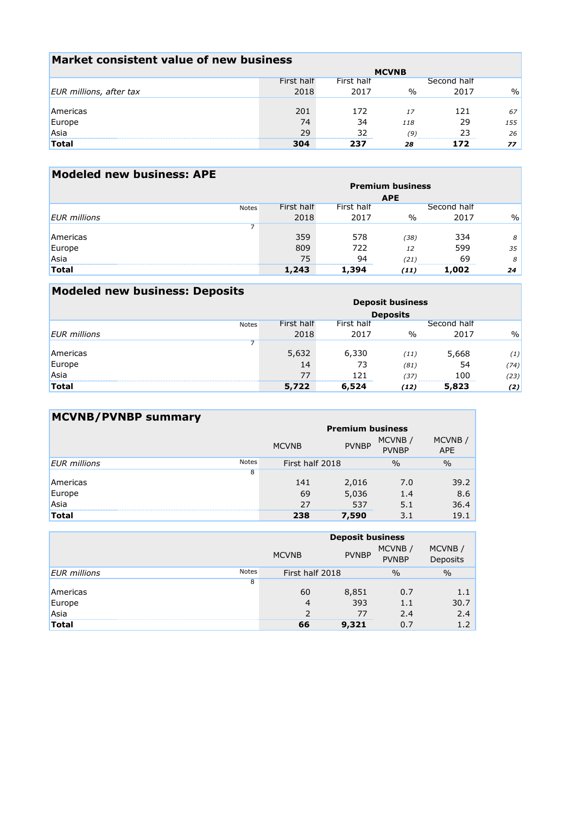| Market consistent value of new business |            |            |               |             |      |  |
|-----------------------------------------|------------|------------|---------------|-------------|------|--|
| <b>MCVNB</b>                            |            |            |               |             |      |  |
|                                         | First half | First half |               | Second half |      |  |
| EUR millions, after tax                 | 2018       | 2017       | $\frac{0}{0}$ | 2017        | $\%$ |  |
|                                         |            |            |               |             |      |  |
| Americas                                | 201        | 172        | 17            | 121         | 67   |  |
| Europe<br>Asia                          | 74         | 34         | 118           | 29          | 155  |  |
|                                         | 29         | 32         | (9)           |             | 26   |  |
| <b>Total</b>                            | 304        | 237        | 28            | 172         | 77   |  |

| <b>Modeled new business: APE</b> |                         |            |            |               |             |      |
|----------------------------------|-------------------------|------------|------------|---------------|-------------|------|
|                                  | <b>Premium business</b> |            |            |               |             |      |
|                                  |                         |            |            | <b>APE</b>    |             |      |
|                                  | <b>Notes</b>            | First half | First half |               | Second half |      |
| <b>EUR</b> millions              |                         | 2018       | 2017       | $\frac{0}{0}$ | 2017        | $\%$ |
|                                  |                         |            |            |               |             |      |
| Americas                         |                         | 359        | 578        | (38)          | 334         | 8    |
| Europe                           |                         | 809        | 722        | 12            | 599         | 35   |
| Asia                             |                         | 75         | 94         | (21)          | 69          | 8    |
| <b>Total</b>                     |                         | 1,243      | 1,394      | (11)          | 1,002       | 24   |
|                                  |                         |            |            |               |             |      |

| <b>Modeled new business: Deposits</b> |              |                         |            |                 |             |               |
|---------------------------------------|--------------|-------------------------|------------|-----------------|-------------|---------------|
|                                       |              | <b>Deposit business</b> |            |                 |             |               |
|                                       |              |                         |            | <b>Deposits</b> |             |               |
|                                       | <b>Notes</b> | First half              | First half |                 | Second half |               |
| <b>EUR</b> millions                   |              | 2018                    | 2017       | $\frac{0}{0}$   | 2017        | $\frac{0}{0}$ |
|                                       |              |                         |            |                 |             |               |
| Americas                              |              | 5,632                   | 6,330      | (11)            | 5,668       | (1)           |
| Europe                                |              | 14                      | 73         | (81)            | 54          | (74)          |
| Asia                                  |              | 77                      | 121        | (37)            | 100         | (23)          |
| <b>Total</b>                          |              | 5,722                   | 6,524      | (12)            | 5,823       | (2)           |

| <b>MCVNB/PVNBP summary</b> |              |                         |              |                        |                      |  |
|----------------------------|--------------|-------------------------|--------------|------------------------|----------------------|--|
|                            |              | <b>Premium business</b> |              |                        |                      |  |
|                            |              | <b>MCVNB</b>            | <b>PVNBP</b> | MCVNB/<br><b>PVNBP</b> | MCVNB/<br><b>APE</b> |  |
| <b>EUR</b> millions        | <b>Notes</b> | First half 2018         |              | $\frac{0}{0}$          | $\frac{0}{0}$        |  |
|                            | 8            |                         |              |                        |                      |  |
| Americas                   |              | 141                     | 2,016        | 7.0                    | 39.2                 |  |
| Europe                     |              | 69                      | 5,036        | 1.4                    | 8.6                  |  |
| Asia                       |              | 27                      | 537          | 5.1                    | 36.4                 |  |
| Total                      |              | 238                     | 7,590        | 3.1                    | 19.1                 |  |

|                     |              | <b>Deposit business</b> |              |                        |                    |  |
|---------------------|--------------|-------------------------|--------------|------------------------|--------------------|--|
|                     |              | <b>MCVNB</b>            | <b>PVNBP</b> | MCVNB/<br><b>PVNBP</b> | MCVNB/<br>Deposits |  |
| <b>EUR</b> millions | <b>Notes</b> | First half 2018         |              | $\frac{0}{0}$          | $\frac{0}{0}$      |  |
|                     | 8            |                         |              |                        |                    |  |
| Americas            |              | 60                      | 8,851        | 0.7                    | 1.1                |  |
| Europe<br>Asia      |              | 4                       | 393          | 1.1                    | 30.7               |  |
|                     |              |                         | 77           | 2.4                    | 2.4                |  |
| <b>Total</b>        |              | 66                      | 9,321        | 0.7                    | 1.2                |  |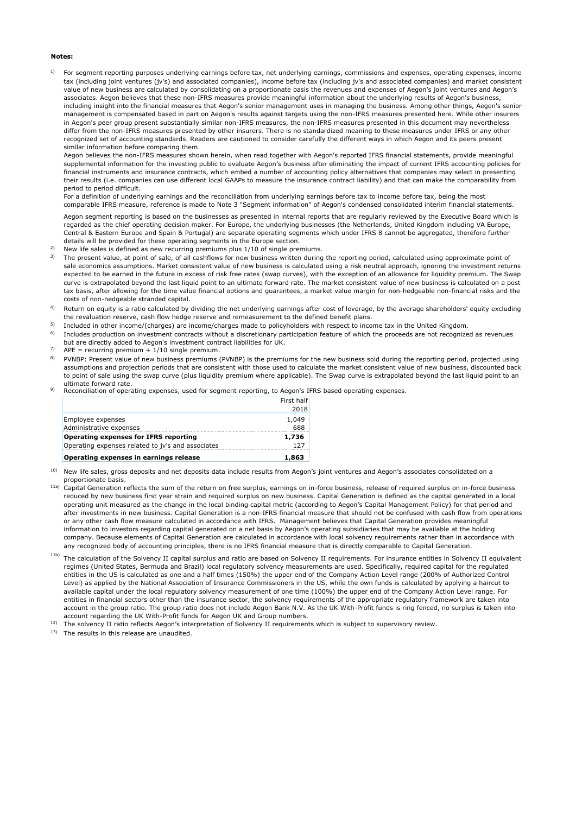#### **Notes:**

1) For segment reporting purposes underlying earnings before tax, net underlying earnings, commissions and expenses, operating expenses, income tax (including joint ventures (jv's) and associated companies), income before tax (including jv's and associated companies) and market consistent value of new business are calculated by consolidating on a proportionate basis the revenues and expenses of Aegon's joint ventures and Aegon's associates. Aegon believes that these non-IFRS measures provide meaningful information about the underlying results of Aegon's business, including insight into the financial measures that Aegon's senior management uses in managing the business. Among other things, Aegon's senior management is compensated based in part on Aegon's results against targets using the non-IFRS measures presented here. While other insurers in Aegon's peer group present substantially similar non-IFRS measures, the non-IFRS measures presented in this document may nevertheless differ from the non-IFRS measures presented by other insurers. There is no standardized meaning to these measures under IFRS or any other recognized set of accounting standards. Readers are cautioned to consider carefully the different ways in which Aegon and its peers present similar information before comparing them.

Aegon believes the non-IFRS measures shown herein, when read together with Aegon's reported IFRS financial statements, provide meaningful supplemental information for the investing public to evaluate Aegon's business after eliminating the impact of current IFRS accounting policies for financial instruments and insurance contracts, which embed a number of accounting policy alternatives that companies may select in presenting their results (i.e. companies can use different local GAAPs to measure the insurance contract liability) and that can make the comparability from period to period difficult.

For a definition of underlying earnings and the reconciliation from underlying earnings before tax to income before tax, being the most comparable IFRS measure, reference is made to Note 3 "Segment information" of Aegon's condensed consolidated interim financial statements.

Aegon segment reporting is based on the businesses as presented in internal reports that are regularly reviewed by the Executive Board which is regarded as the chief operating decision maker. For Europe, the underlying businesses (the Netherlands, United Kingdom including VA Europe, Central & Eastern Europe and Spain & Portugal) are separate operating segments which under IFRS 8 cannot be aggregated, therefore further details will be provided for these operating segments in the Europe section.

- $2)$ New life sales is defined as new recurring premiums plus 1/10 of single premiums.
- 3) The present value, at point of sale, of all cashflows for new business written during the reporting period, calculated using approximate point of sale economics assumptions. Market consistent value of new business is calculated using a risk neutral approach, ignoring the investment returns expected to be earned in the future in excess of risk free rates (swap curves), with the exception of an allowance for liquidity premium. The Swap curve is extrapolated beyond the last liquid point to an ultimate forward rate. The market consistent value of new business is calculated on a post tax basis, after allowing for the time value financial options and guarantees, a market value margin for non-hedgeable non-financial risks and the costs of non-hedgeable stranded capital.
- 4) Return on equity is a ratio calculated by dividing the net underlying earnings after cost of leverage, by the average shareholders' equity excluding the revaluation reserve, cash flow hedge reserve and remeasurement to the defined benefit plans.
- 5) Included in other income/(charges) are income/charges made to policyholders with respect to income tax in the United Kingdom.
- 6) Includes production on investment contracts without a discretionary participation feature of which the proceeds are not recognized as revenues
- 7) but are directly added to Aegon's investment contract liabilities for UK.
- $APE = recurring premium + 1/10 single premium$ .
- 8) PVNBP: Present value of new business premiums (PVNBP) is the premiums for the new business sold during the reporting period, projected using assumptions and projection periods that are consistent with those used to calculate the market consistent value of new business, discounted back to point of sale using the swap curve (plus liquidity premium where applicable). The Swap curve is extrapolated beyond the last liquid point to an ultimate forward rate.
- 9) Reconciliation of operating expenses, used for segment reporting, to Aegon's IFRS based operating expenses.

| Operating expenses related to jy's and associates | 1 2 7      |
|---------------------------------------------------|------------|
| Operating expenses for IFRS reporting             | 1,736      |
| Administrative expenses                           | 688        |
| Employee expenses                                 | 1.049      |
|                                                   | 2018       |
|                                                   | First half |

<sup>10)</sup> New life sales, gross deposits and net deposits data include results from Aegon's joint ventures and Aegon's associates consolidated on a proportionate basis.

- <sup>11a)</sup> Capital Generation reflects the sum of the return on free surplus, earnings on in-force business, release of required surplus on in-force business reduced by new business first year strain and required surplus on new business. Capital Generation is defined as the capital generated in a local operating unit measured as the change in the local binding capital metric (according to Aegon's Capital Management Policy) for that period and after investments in new business. Capital Generation is a non-IFRS financial measure that should not be confused with cash flow from operations or any other cash flow measure calculated in accordance with IFRS. Management believes that Capital Generation provides meaningful information to investors regarding capital generated on a net basis by Aegon's operating subsidiaries that may be available at the holding company. Because elements of Capital Generation are calculated in accordance with local solvency requirements rather than in accordance with any recognized body of accounting principles, there is no IFRS financial measure that is directly comparable to Capital Generation.
- <sup>11b)</sup> The calculation of the Solvency II capital surplus and ratio are based on Solvency II requirements. For insurance entities in Solvency II equivalent regimes (United States, Bermuda and Brazil) local regulatory solvency measurements are used. Specifically, required capital for the regulated entities in the US is calculated as one and a half times (150%) the upper end of the Company Action Level range (200% of Authorized Control Level) as applied by the National Association of Insurance Commissioners in the US, while the own funds is calculated by applying a haircut to available capital under the local regulatory solvency measurement of one time (100%) the upper end of the Company Action Level range. For entities in financial sectors other than the insurance sector, the solvency requirements of the appropriate regulatory framework are taken into account in the group ratio. The group ratio does not include Aegon Bank N.V. As the UK With-Profit funds is ring fenced, no surplus is taken into account regarding the UK With-Profit funds for Aegon UK and Group numbers.
- 12) The solvency II ratio reflects Aegon's interpretation of Solvency II requirements which is subject to supervisory review.

13) The results in this release are unaudited.